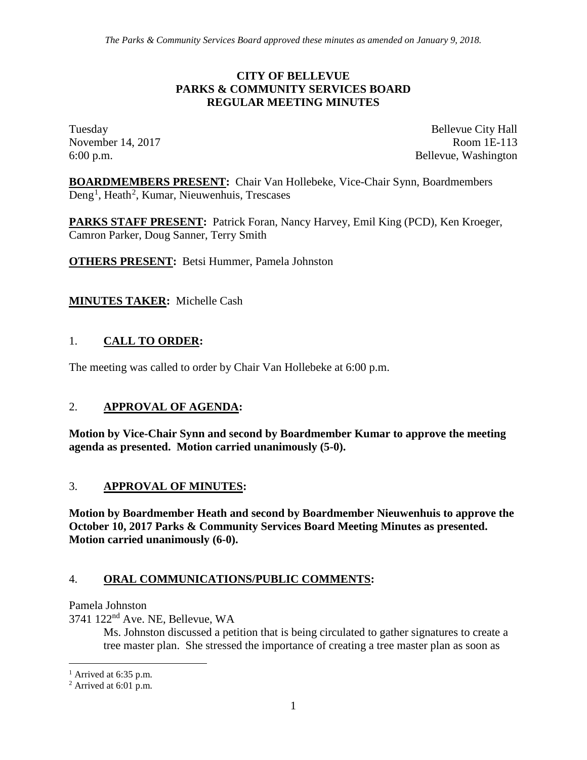#### **CITY OF BELLEVUE PARKS & COMMUNITY SERVICES BOARD REGULAR MEETING MINUTES**

Tuesday Bellevue City Hall November 14, 2017 Room 1E-113 6:00 p.m. Bellevue, Washington

**BOARDMEMBERS PRESENT:** Chair Van Hollebeke, Vice-Chair Synn, Boardmembers Deng<sup>[1](#page-0-0)</sup>, Heath<sup>[2](#page-0-1)</sup>, Kumar, Nieuwenhuis, Trescases

**PARKS STAFF PRESENT:** Patrick Foran, Nancy Harvey, Emil King (PCD), Ken Kroeger, Camron Parker, Doug Sanner, Terry Smith

**OTHERS PRESENT:** Betsi Hummer, Pamela Johnston

### **MINUTES TAKER:** Michelle Cash

### 1. **CALL TO ORDER:**

The meeting was called to order by Chair Van Hollebeke at 6:00 p.m.

#### 2. **APPROVAL OF AGENDA:**

**Motion by Vice-Chair Synn and second by Boardmember Kumar to approve the meeting agenda as presented. Motion carried unanimously (5-0).**

#### 3. **APPROVAL OF MINUTES:**

**Motion by Boardmember Heath and second by Boardmember Nieuwenhuis to approve the October 10, 2017 Parks & Community Services Board Meeting Minutes as presented. Motion carried unanimously (6-0).**

#### 4. **ORAL COMMUNICATIONS/PUBLIC COMMENTS:**

Pamela Johnston

3741 122nd Ave. NE, Bellevue, WA

Ms. Johnston discussed a petition that is being circulated to gather signatures to create a tree master plan. She stressed the importance of creating a tree master plan as soon as

<span id="page-0-0"></span> $<sup>1</sup>$  Arrived at 6:35 p.m.</sup>

<span id="page-0-1"></span><sup>2</sup> Arrived at 6:01 p.m.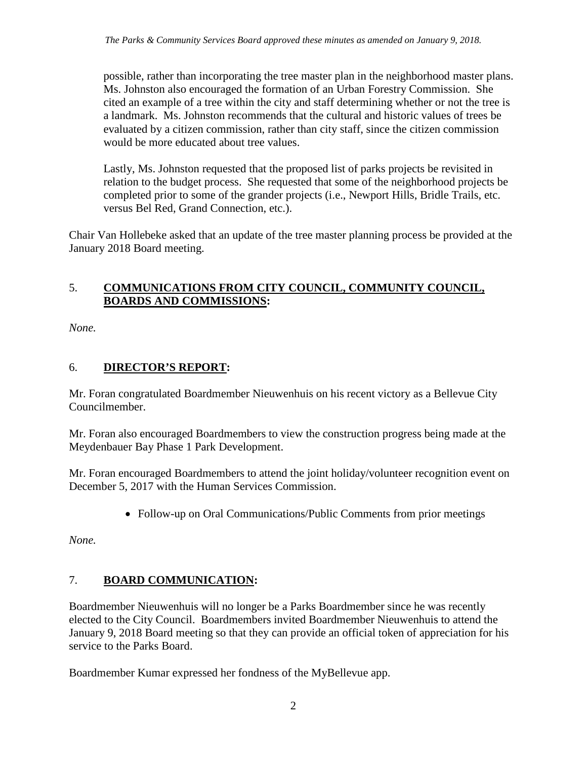possible, rather than incorporating the tree master plan in the neighborhood master plans. Ms. Johnston also encouraged the formation of an Urban Forestry Commission. She cited an example of a tree within the city and staff determining whether or not the tree is a landmark. Ms. Johnston recommends that the cultural and historic values of trees be evaluated by a citizen commission, rather than city staff, since the citizen commission would be more educated about tree values.

Lastly, Ms. Johnston requested that the proposed list of parks projects be revisited in relation to the budget process. She requested that some of the neighborhood projects be completed prior to some of the grander projects (i.e., Newport Hills, Bridle Trails, etc. versus Bel Red, Grand Connection, etc.).

Chair Van Hollebeke asked that an update of the tree master planning process be provided at the January 2018 Board meeting.

#### 5. **COMMUNICATIONS FROM CITY COUNCIL, COMMUNITY COUNCIL, BOARDS AND COMMISSIONS:**

*None.*

## 6. **DIRECTOR'S REPORT:**

Mr. Foran congratulated Boardmember Nieuwenhuis on his recent victory as a Bellevue City Councilmember.

Mr. Foran also encouraged Boardmembers to view the construction progress being made at the Meydenbauer Bay Phase 1 Park Development.

Mr. Foran encouraged Boardmembers to attend the joint holiday/volunteer recognition event on December 5, 2017 with the Human Services Commission.

• Follow-up on Oral Communications/Public Comments from prior meetings

*None.*

## 7. **BOARD COMMUNICATION:**

Boardmember Nieuwenhuis will no longer be a Parks Boardmember since he was recently elected to the City Council. Boardmembers invited Boardmember Nieuwenhuis to attend the January 9, 2018 Board meeting so that they can provide an official token of appreciation for his service to the Parks Board.

Boardmember Kumar expressed her fondness of the MyBellevue app.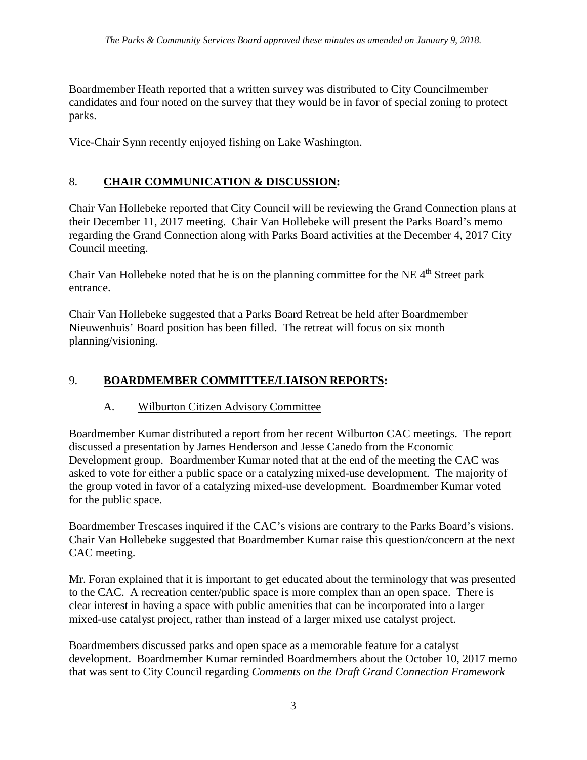Boardmember Heath reported that a written survey was distributed to City Councilmember candidates and four noted on the survey that they would be in favor of special zoning to protect parks.

Vice-Chair Synn recently enjoyed fishing on Lake Washington.

# 8. **CHAIR COMMUNICATION & DISCUSSION:**

Chair Van Hollebeke reported that City Council will be reviewing the Grand Connection plans at their December 11, 2017 meeting. Chair Van Hollebeke will present the Parks Board's memo regarding the Grand Connection along with Parks Board activities at the December 4, 2017 City Council meeting.

Chair Van Hollebeke noted that he is on the planning committee for the NE  $4<sup>th</sup>$  Street park entrance.

Chair Van Hollebeke suggested that a Parks Board Retreat be held after Boardmember Nieuwenhuis' Board position has been filled. The retreat will focus on six month planning/visioning.

## 9. **BOARDMEMBER COMMITTEE/LIAISON REPORTS:**

#### A. Wilburton Citizen Advisory Committee

Boardmember Kumar distributed a report from her recent Wilburton CAC meetings. The report discussed a presentation by James Henderson and Jesse Canedo from the Economic Development group. Boardmember Kumar noted that at the end of the meeting the CAC was asked to vote for either a public space or a catalyzing mixed-use development. The majority of the group voted in favor of a catalyzing mixed-use development. Boardmember Kumar voted for the public space.

Boardmember Trescases inquired if the CAC's visions are contrary to the Parks Board's visions. Chair Van Hollebeke suggested that Boardmember Kumar raise this question/concern at the next CAC meeting.

Mr. Foran explained that it is important to get educated about the terminology that was presented to the CAC. A recreation center/public space is more complex than an open space. There is clear interest in having a space with public amenities that can be incorporated into a larger mixed-use catalyst project, rather than instead of a larger mixed use catalyst project.

Boardmembers discussed parks and open space as a memorable feature for a catalyst development. Boardmember Kumar reminded Boardmembers about the October 10, 2017 memo that was sent to City Council regarding *Comments on the Draft Grand Connection Framework*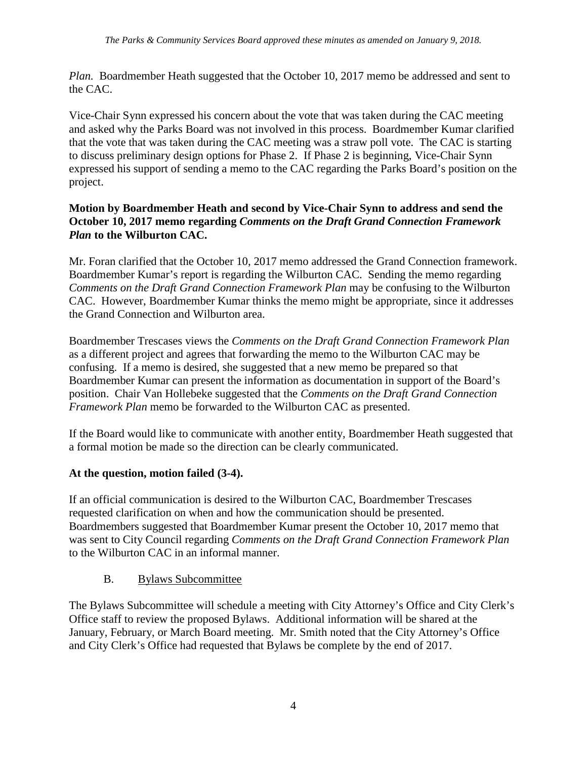*Plan.* Boardmember Heath suggested that the October 10, 2017 memo be addressed and sent to the CAC.

Vice-Chair Synn expressed his concern about the vote that was taken during the CAC meeting and asked why the Parks Board was not involved in this process. Boardmember Kumar clarified that the vote that was taken during the CAC meeting was a straw poll vote. The CAC is starting to discuss preliminary design options for Phase 2. If Phase 2 is beginning, Vice-Chair Synn expressed his support of sending a memo to the CAC regarding the Parks Board's position on the project.

### **Motion by Boardmember Heath and second by Vice-Chair Synn to address and send the October 10, 2017 memo regarding** *Comments on the Draft Grand Connection Framework Plan* **to the Wilburton CAC.**

Mr. Foran clarified that the October 10, 2017 memo addressed the Grand Connection framework. Boardmember Kumar's report is regarding the Wilburton CAC. Sending the memo regarding *Comments on the Draft Grand Connection Framework Plan* may be confusing to the Wilburton CAC. However, Boardmember Kumar thinks the memo might be appropriate, since it addresses the Grand Connection and Wilburton area.

Boardmember Trescases views the *Comments on the Draft Grand Connection Framework Plan* as a different project and agrees that forwarding the memo to the Wilburton CAC may be confusing. If a memo is desired, she suggested that a new memo be prepared so that Boardmember Kumar can present the information as documentation in support of the Board's position. Chair Van Hollebeke suggested that the *Comments on the Draft Grand Connection Framework Plan* memo be forwarded to the Wilburton CAC as presented.

If the Board would like to communicate with another entity, Boardmember Heath suggested that a formal motion be made so the direction can be clearly communicated.

## **At the question, motion failed (3-4).**

If an official communication is desired to the Wilburton CAC, Boardmember Trescases requested clarification on when and how the communication should be presented. Boardmembers suggested that Boardmember Kumar present the October 10, 2017 memo that was sent to City Council regarding *Comments on the Draft Grand Connection Framework Plan*  to the Wilburton CAC in an informal manner.

#### B. Bylaws Subcommittee

The Bylaws Subcommittee will schedule a meeting with City Attorney's Office and City Clerk's Office staff to review the proposed Bylaws. Additional information will be shared at the January, February, or March Board meeting. Mr. Smith noted that the City Attorney's Office and City Clerk's Office had requested that Bylaws be complete by the end of 2017.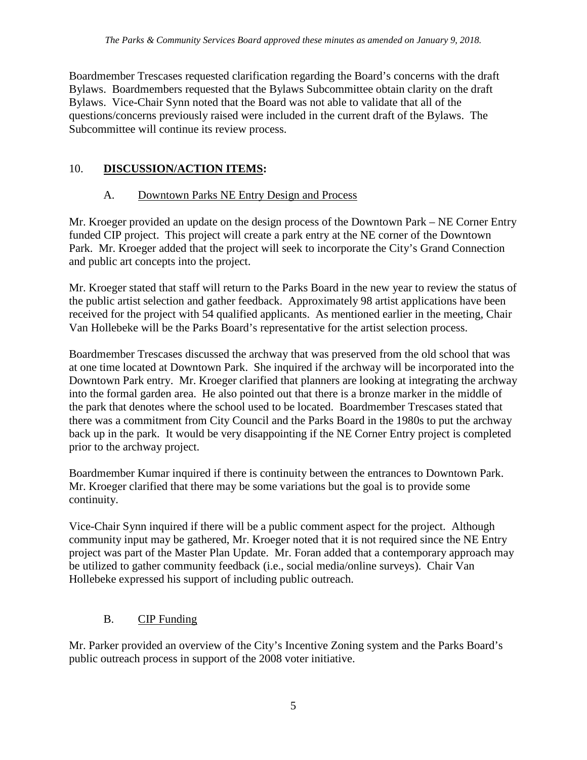Boardmember Trescases requested clarification regarding the Board's concerns with the draft Bylaws. Boardmembers requested that the Bylaws Subcommittee obtain clarity on the draft Bylaws. Vice-Chair Synn noted that the Board was not able to validate that all of the questions/concerns previously raised were included in the current draft of the Bylaws. The Subcommittee will continue its review process.

## 10. **DISCUSSION/ACTION ITEMS:**

# A. Downtown Parks NE Entry Design and Process

Mr. Kroeger provided an update on the design process of the Downtown Park – NE Corner Entry funded CIP project. This project will create a park entry at the NE corner of the Downtown Park. Mr. Kroeger added that the project will seek to incorporate the City's Grand Connection and public art concepts into the project.

Mr. Kroeger stated that staff will return to the Parks Board in the new year to review the status of the public artist selection and gather feedback. Approximately 98 artist applications have been received for the project with 54 qualified applicants. As mentioned earlier in the meeting, Chair Van Hollebeke will be the Parks Board's representative for the artist selection process.

Boardmember Trescases discussed the archway that was preserved from the old school that was at one time located at Downtown Park. She inquired if the archway will be incorporated into the Downtown Park entry. Mr. Kroeger clarified that planners are looking at integrating the archway into the formal garden area. He also pointed out that there is a bronze marker in the middle of the park that denotes where the school used to be located. Boardmember Trescases stated that there was a commitment from City Council and the Parks Board in the 1980s to put the archway back up in the park. It would be very disappointing if the NE Corner Entry project is completed prior to the archway project.

Boardmember Kumar inquired if there is continuity between the entrances to Downtown Park. Mr. Kroeger clarified that there may be some variations but the goal is to provide some continuity.

Vice-Chair Synn inquired if there will be a public comment aspect for the project. Although community input may be gathered, Mr. Kroeger noted that it is not required since the NE Entry project was part of the Master Plan Update. Mr. Foran added that a contemporary approach may be utilized to gather community feedback (i.e., social media/online surveys). Chair Van Hollebeke expressed his support of including public outreach.

# B. CIP Funding

Mr. Parker provided an overview of the City's Incentive Zoning system and the Parks Board's public outreach process in support of the 2008 voter initiative.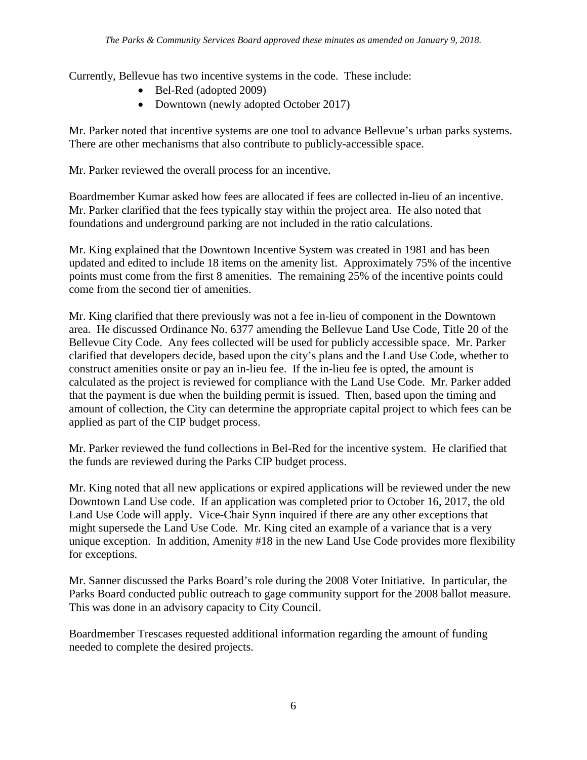Currently, Bellevue has two incentive systems in the code. These include:

- Bel-Red (adopted 2009)
- Downtown (newly adopted October 2017)

Mr. Parker noted that incentive systems are one tool to advance Bellevue's urban parks systems. There are other mechanisms that also contribute to publicly-accessible space.

Mr. Parker reviewed the overall process for an incentive.

Boardmember Kumar asked how fees are allocated if fees are collected in-lieu of an incentive. Mr. Parker clarified that the fees typically stay within the project area. He also noted that foundations and underground parking are not included in the ratio calculations.

Mr. King explained that the Downtown Incentive System was created in 1981 and has been updated and edited to include 18 items on the amenity list. Approximately 75% of the incentive points must come from the first 8 amenities. The remaining 25% of the incentive points could come from the second tier of amenities.

Mr. King clarified that there previously was not a fee in-lieu of component in the Downtown area. He discussed Ordinance No. 6377 amending the Bellevue Land Use Code, Title 20 of the Bellevue City Code. Any fees collected will be used for publicly accessible space. Mr. Parker clarified that developers decide, based upon the city's plans and the Land Use Code, whether to construct amenities onsite or pay an in-lieu fee. If the in-lieu fee is opted, the amount is calculated as the project is reviewed for compliance with the Land Use Code. Mr. Parker added that the payment is due when the building permit is issued. Then, based upon the timing and amount of collection, the City can determine the appropriate capital project to which fees can be applied as part of the CIP budget process.

Mr. Parker reviewed the fund collections in Bel-Red for the incentive system. He clarified that the funds are reviewed during the Parks CIP budget process.

Mr. King noted that all new applications or expired applications will be reviewed under the new Downtown Land Use code. If an application was completed prior to October 16, 2017, the old Land Use Code will apply. Vice-Chair Synn inquired if there are any other exceptions that might supersede the Land Use Code. Mr. King cited an example of a variance that is a very unique exception. In addition, Amenity #18 in the new Land Use Code provides more flexibility for exceptions.

Mr. Sanner discussed the Parks Board's role during the 2008 Voter Initiative. In particular, the Parks Board conducted public outreach to gage community support for the 2008 ballot measure. This was done in an advisory capacity to City Council.

Boardmember Trescases requested additional information regarding the amount of funding needed to complete the desired projects.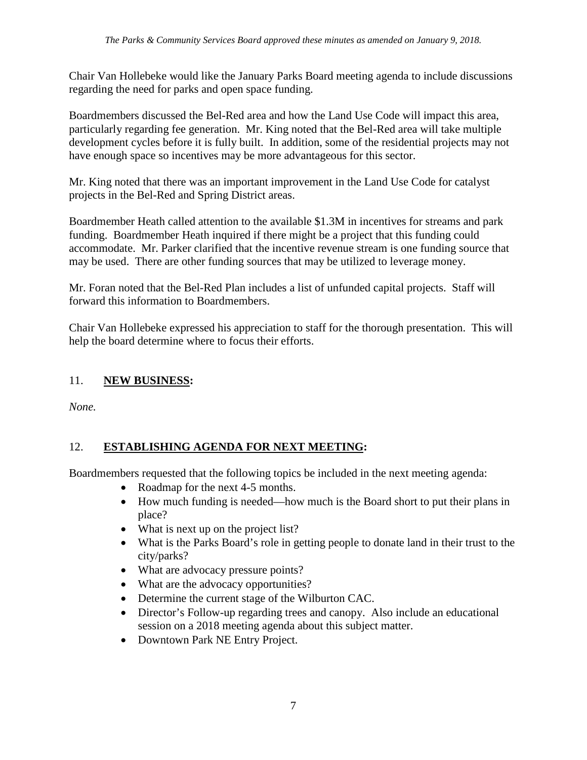Chair Van Hollebeke would like the January Parks Board meeting agenda to include discussions regarding the need for parks and open space funding.

Boardmembers discussed the Bel-Red area and how the Land Use Code will impact this area, particularly regarding fee generation. Mr. King noted that the Bel-Red area will take multiple development cycles before it is fully built. In addition, some of the residential projects may not have enough space so incentives may be more advantageous for this sector.

Mr. King noted that there was an important improvement in the Land Use Code for catalyst projects in the Bel-Red and Spring District areas.

Boardmember Heath called attention to the available \$1.3M in incentives for streams and park funding. Boardmember Heath inquired if there might be a project that this funding could accommodate. Mr. Parker clarified that the incentive revenue stream is one funding source that may be used. There are other funding sources that may be utilized to leverage money.

Mr. Foran noted that the Bel-Red Plan includes a list of unfunded capital projects. Staff will forward this information to Boardmembers.

Chair Van Hollebeke expressed his appreciation to staff for the thorough presentation. This will help the board determine where to focus their efforts.

## 11. **NEW BUSINESS:**

*None.*

# 12. **ESTABLISHING AGENDA FOR NEXT MEETING:**

Boardmembers requested that the following topics be included in the next meeting agenda:

- Roadmap for the next 4-5 months.
- How much funding is needed—how much is the Board short to put their plans in place?
- What is next up on the project list?
- What is the Parks Board's role in getting people to donate land in their trust to the city/parks?
- What are advocacy pressure points?
- What are the advocacy opportunities?
- Determine the current stage of the Wilburton CAC.
- Director's Follow-up regarding trees and canopy. Also include an educational session on a 2018 meeting agenda about this subject matter.
- Downtown Park NE Entry Project.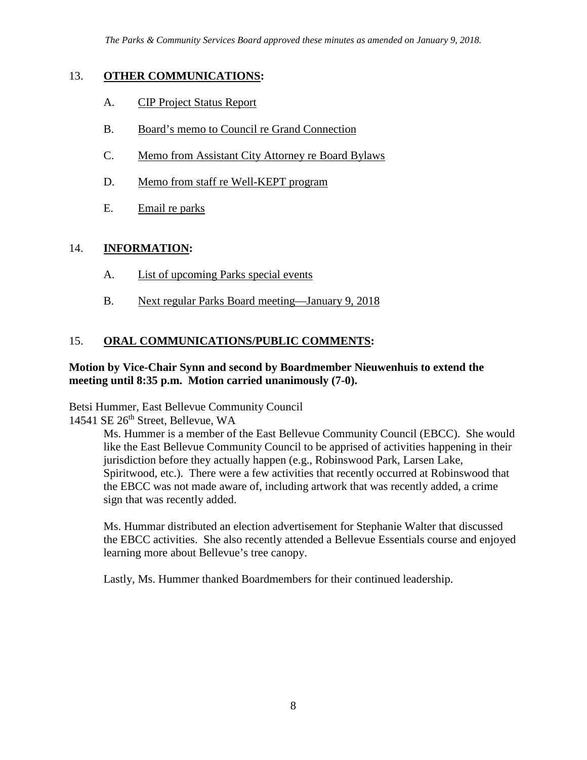### 13. **OTHER COMMUNICATIONS:**

- A. CIP Project Status Report
- B. Board's memo to Council re Grand Connection
- C. Memo from Assistant City Attorney re Board Bylaws
- D. Memo from staff re Well-KEPT program
- E. Email re parks

## 14. **INFORMATION:**

- A. List of upcoming Parks special events
- B. Next regular Parks Board meeting—January 9, 2018

## 15. **ORAL COMMUNICATIONS/PUBLIC COMMENTS:**

#### **Motion by Vice-Chair Synn and second by Boardmember Nieuwenhuis to extend the meeting until 8:35 p.m. Motion carried unanimously (7-0).**

Betsi Hummer, East Bellevue Community Council

14541 SE 26<sup>th</sup> Street, Bellevue, WA

Ms. Hummer is a member of the East Bellevue Community Council (EBCC). She would like the East Bellevue Community Council to be apprised of activities happening in their jurisdiction before they actually happen (e.g., Robinswood Park, Larsen Lake, Spiritwood, etc.). There were a few activities that recently occurred at Robinswood that the EBCC was not made aware of, including artwork that was recently added, a crime sign that was recently added.

Ms. Hummar distributed an election advertisement for Stephanie Walter that discussed the EBCC activities. She also recently attended a Bellevue Essentials course and enjoyed learning more about Bellevue's tree canopy.

Lastly, Ms. Hummer thanked Boardmembers for their continued leadership.